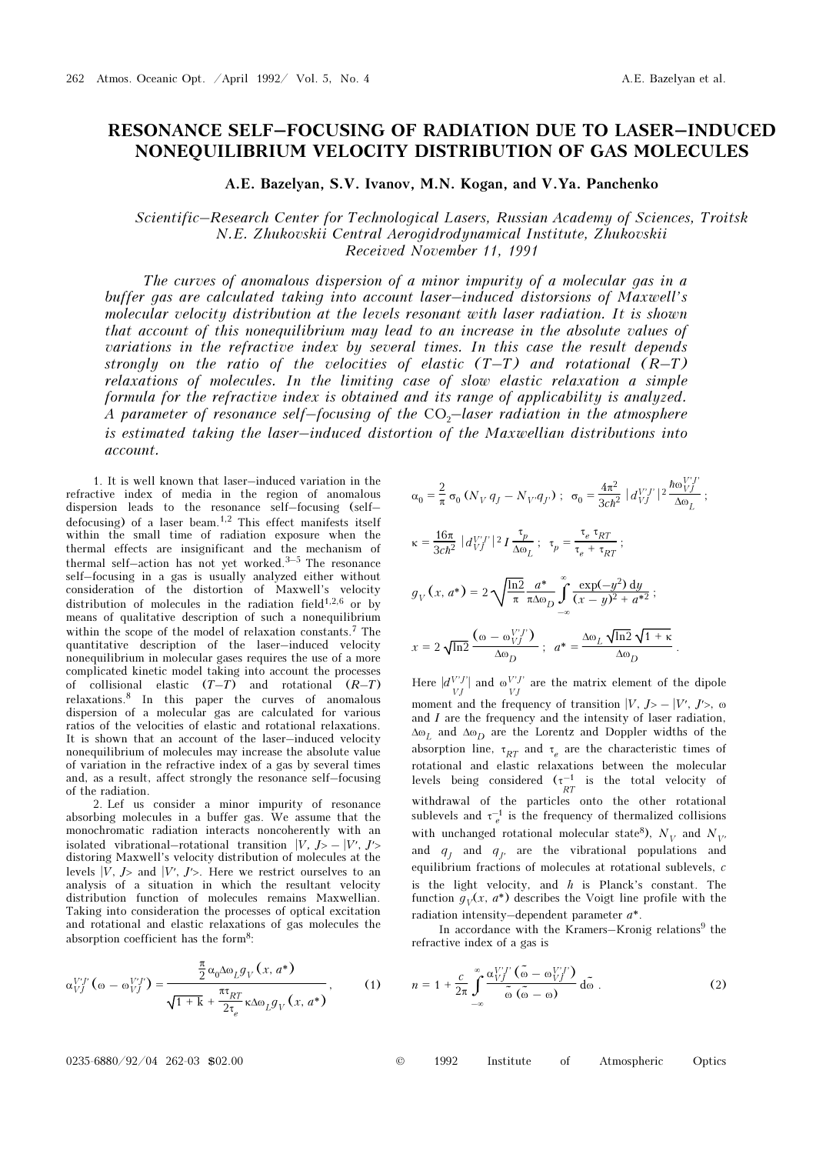## RESONANCE SELF–FOCUSING OF RADIATION DUE TO LASER–INDUCED NONEQUILIBRIUM VELOCITY DISTRIBUTION OF GAS MOLECULES

A.E. Bazelyan, S.V. Ivanov, M.N. Kogan, and V.Ya. Panchenko

## Scientific–Research Center for Technological Lasers, Russian Academy of Sciences, Troitsk N.E. Zhukovskii Central Aerogidrodynamical Institute, Zhukovskii Received November 11, 1991

The curves of anomalous dispersion of a minor impurity of a molecular gas in a buffer gas are calculated taking into account laser–induced distorsions of Maxwell's molecular velocity distribution at the levels resonant with laser radiation. It is shown that account of this nonequilibrium may lead to an increase in the absolute values of variations in the refractive index by several times. In this case the result depends strongly on the ratio of the velocities of elastic  $(T-T)$  and rotational  $(R-T)$ relaxations of molecules. In the limiting case of slow elastic relaxation a simple formula for the refractive index is obtained and its range of applicability is analyzed. A parameter of resonance self-focusing of the  $CO<sub>2</sub>$ -laser radiation in the atmosphere is estimated taking the laser–induced distortion of the Maxwellian distributions into account.

1. It is well known that laser–induced variation in the refractive index of media in the region of anomalous dispersion leads to the resonance self–focusing (self– defocusing) of a laser beam.1,2 This effect manifests itself within the small time of radiation exposure when the thermal effects are insignificant and the mechanism of thermal self–action has not yet worked.3–5 The resonance self–focusing in a gas is usually analyzed either without consideration of the distortion of Maxwell's velocity distribution of molecules in the radiation field $1,2,6$  or by means of qualitative description of such a nonequilibrium within the scope of the model of relaxation constants.7 The quantitative description of the laser–induced velocity nonequilibrium in molecular gases requires the use of a more complicated kinetic model taking into account the processes of collisional elastic  $(T-T)$  and rotational  $(R-T)$ relaxations.8 In this paper the curves of anomalous dispersion of a molecular gas are calculated for various ratios of the velocities of elastic and rotational relaxations. It is shown that an account of the laser–induced velocity nonequilibrium of molecules may increase the absolute value of variation in the refractive index of a gas by several times and, as a result, affect strongly the resonance self–focusing of the radiation.

2. Lef us consider a minor impurity of resonance absorbing molecules in a buffer gas. We assume that the monochromatic radiation interacts noncoherently with an isolated vibrational–rotational transition  $|V, J\rangle - |V', J'\rangle$ distoring Maxwell's velocity distribution of molecules at the levels  $|V, J>$  and  $|V', J'>$ . Here we restrict ourselves to an analysis of a situation in which the resultant velocity distribution function of molecules remains Maxwellian. Taking into consideration the processes of optical excitation and rotational and elastic relaxations of gas molecules the absorption coefficient has the form8:

$$
\alpha_{VJ}^{V'J'}(\omega - \omega_{VJ}^{V'J'}) = \frac{\frac{\pi}{2} \alpha_0 \Delta \omega_L g_V(x, a^*)}{\sqrt{1 + k} + \frac{\pi \tau_{RT}}{2\tau_e} \kappa \Delta \omega_L g_V(x, a^*)},
$$
(1)

$$
\alpha_0 = \frac{2}{\pi} \sigma_0 \left( N_V q_J - N_{V'} q_J \right) ; \quad \sigma_0 = \frac{4\pi^2}{3c\hbar^2} |d_{VJ}^{V'I'}|^2 \frac{\hbar \omega_{VJ}^{V'I'}}{\Delta \omega_L} ;
$$
\n
$$
\kappa = \frac{16\pi}{3c\hbar^2} |d_{VJ}^{V'I'}|^2 I \frac{\tau_p}{\Delta \omega_L} ; \quad \tau_p = \frac{\tau_e \tau_{RT}}{\tau_e + \tau_{RT}} ;
$$
\n
$$
g_V(x, a^*) = 2 \sqrt{\frac{\ln 2}{\pi}} \frac{a^*}{\pi \Delta \omega_D} \int_{-\infty}^{\infty} \frac{\exp(-y^2) dy}{(x - y)^2 + a^{*2}} ;
$$
\n
$$
x = 2 \sqrt{\ln 2} \frac{(\omega - \omega_{VJ}^{V'I'})}{\Delta \omega_D} ; \quad a^* = \frac{\Delta \omega_L \sqrt{\ln 2} \sqrt{1 + \kappa}}{\Delta \omega_D} .
$$

Here  $|d_{VI}^{V'J'}|$  and  $\omega_{VI}^{V'J'}$  are the matrix element of the dipole moment and the frequency of transition  $|V, J\rangle - |V', J'\rangle$ ,  $\omega$ and  $I$  are the frequency and the intensity of laser radiation,  $\Delta\omega_L$  and  $\Delta\omega_D$  are the Lorentz and Doppler widths of the absorption line,  $\tau_{RT}$  and  $\tau_e$  are the characteristic times of rotational and elastic relaxations between the molecular levels being considered  $(\tau^{-1}_{RT})$  is the total velocity of withdrawal of the particles onto the other rotational sublevels and  $\tau_e^{-1}$  is the frequency of thermalized collisions with unchanged rotational molecular state<sup>8</sup>),  $N_{V}$  and  $N_{V}$ and  $q_J$  and  $q_{J'}$  are the vibrational populations and equilibrium fractions of molecules at rotational sublevels, c is the light velocity, and  $h$  is Planck's constant. The function  $g_V(x, a^*)$  describes the Voigt line profile with the radiation intensity–dependent parameter a\*.

In accordance with the Kramers–Kronig relations $9$  the refractive index of a gas is

$$
n = 1 + \frac{c}{2\pi} \int_{-\infty}^{\infty} \frac{\alpha_{VI}^{V'I}(\tilde{\omega} - \omega_{VI}^{V'I})}{\tilde{\omega}(\tilde{\omega} - \omega)} d\tilde{\omega} . \tag{2}
$$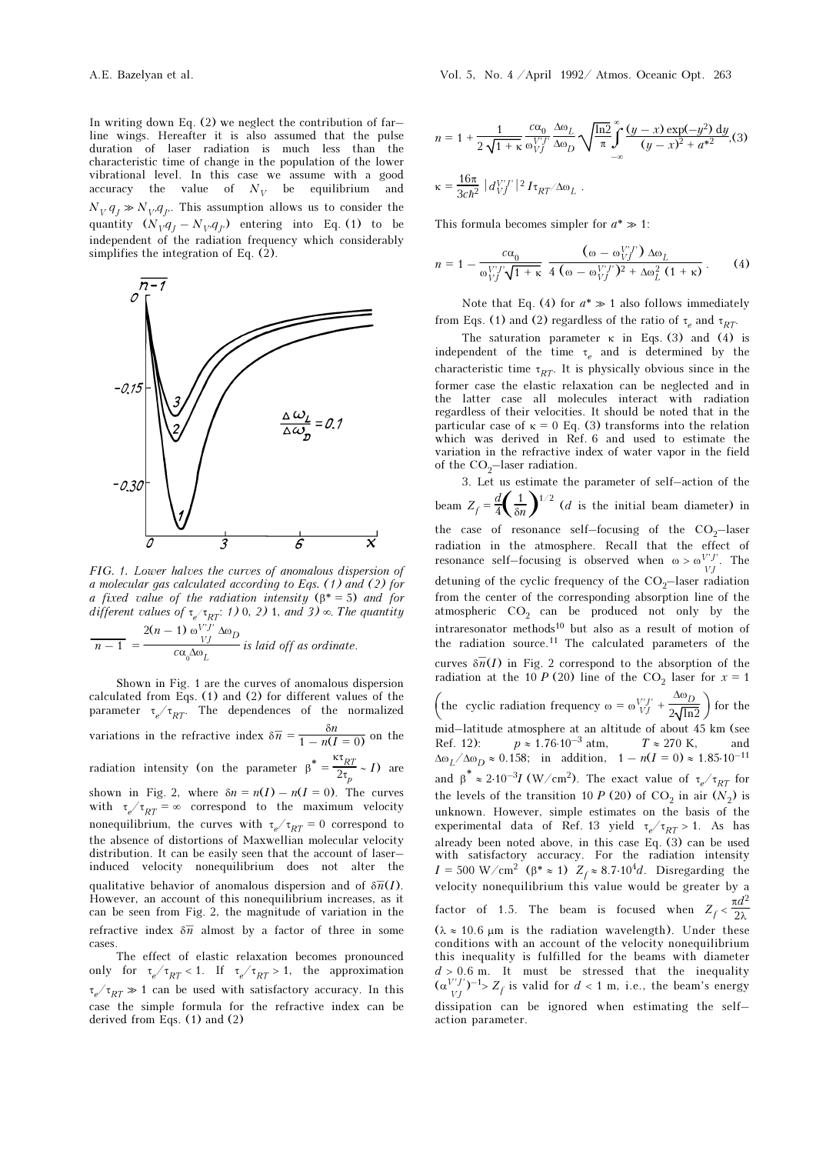In writing down Eq. (2) we neglect the contribution of far– line wings. Hereafter it is also assumed that the pulse duration of laser radiation is much less than the characteristic time of change in the population of the lower vibrational level. In this case we assume with a good accuracy the value of  $N_V$  be equilibrium and  $N_V q_J \gg N_V q_{J'}$ . This assumption allows us to consider the quantity  $(N_Vq_J - N_Vq_J)$  entering into Eq. (1) to be independent of the radiation frequency which considerably simplifies the integration of Eq. (2).



FIG. 1. Lower halves the curves of anomalous dispersion of a molecular gas calculated according to Eqs. (1) and (2) for a fixed value of the radiation intensity  $(\beta^* = 5)$  and for different values of  $\tau_{e}$  ( $\tau_{RT}$ : 1) 0, 2) 1, and 3)  $\infty$ . The quantity

$$
\frac{2(n-1) \omega_{VI}^{VJ} \Delta \omega_D}{c \alpha_0 \Delta \omega_L}
$$
 is laid off as ordinate.

Shown in Fig. 1 are the curves of anomalous dispersion calculated from Eqs. (1) and (2) for different values of the parameter  $\tau_e / \tau_{RT}$ . The dependences of the normalized variations in the refractive index  $\delta \overline{n} = \frac{\delta n}{1 - n(I = 0)}$  on the radiation intensity (on the parameter  $\beta^* = \frac{k \pi R T}{2 \pi R T}$  $\frac{1}{2\tau_p} \sim I$ ) are shown in Fig. 2, where  $\delta n = n(I) - n(I = 0)$ . The curves with  $\tau_e / \tau_{RT} = \infty$  correspond to the maximum velocity nonequilibrium, the curves with  $\tau_e/\tau_{RT} = 0$  correspond to the absence of distortions of Maxwellian molecular velocity distribution. It can be easily seen that the account of laser– induced velocity nonequilibrium does not alter the qualitative behavior of anomalous dispersion and of  $\delta \overline{n}(I)$ . However, an account of this nonequilibrium increases, as it can be seen from Fig. 2, the magnitude of variation in the refractive index  $\delta \overline{n}$  almost by a factor of three in some cases. The effect of elastic relaxation becomes pronounced

only for  $\tau_e / \tau_{RT} < 1$ . If  $\tau_e / \tau_{RT} > 1$ , the approximation  $\tau_e/\tau_{RT} \gg 1$  can be used with satisfactory accuracy. In this case the simple formula for the refractive index can be derived from Eqs. (1) and (2)

$$
n = 1 + \frac{1}{2\sqrt{1 + \kappa}} \frac{c\alpha_0}{\omega_{VJ}^{V'I}} \frac{\Delta\omega_L}{\Delta\omega_D} \sqrt{\frac{\ln 2}{\pi}} \int_{-\infty}^{\infty} \frac{(y - x) \exp(-y^2) dy}{(y - x)^2 + a^{*2}},
$$
\n
$$
\kappa = \frac{16\pi}{3c\hbar^2} |d_{VJ}^{V'I}|^2 I_{\tau_{RT}} \Delta\omega_L.
$$

This formula becomes simpler for  $a^* \gg 1$ :

$$
n = 1 - \frac{c\alpha_0}{\omega_{VJ}^{V'J'}\sqrt{1+\kappa}} \frac{(\omega - \omega_{VJ}^{V'J'}) \Delta\omega_L}{4(\omega - \omega_{VJ}^{V'J'})^2 + \Delta\omega_L^2(1+\kappa)}.
$$
 (4)

Note that Eq. (4) for  $a^* \gg 1$  also follows immediately from Eqs. (1) and (2) regardless of the ratio of  $\tau_e$  and  $\tau_{RT}$ .

The saturation parameter  $\kappa$  in Eqs. (3) and (4) is independent of the time  $\tau_e$  and is determined by the characteristic time  $\tau_{RT}$ . It is physically obvious since in the former case the elastic relaxation can be neglected and in the latter case all molecules interact with radiation regardless of their velocities. It should be noted that in the particular case of  $\kappa = 0$  Eq. (3) transforms into the relation which was derived in Ref. 6 and used to estimate the variation in the refractive index of water vapor in the field of the  $CO<sub>2</sub>$ -laser radiation.

3. Let us estimate the parameter of self–action of the beam  $Z_f = \frac{d}{4} \left( \frac{1}{\delta n} \right)^{1/2}$  (*d* is the initial beam diameter) in the case of resonance self–focusing of the  $CO<sub>2</sub>$ –laser radiation in the atmosphere. Recall that the effect of resonance self–focusing is observed when  $\omega > \omega_{VJ}^{V'J'}$ . The detuning of the cyclic frequency of the  $CO<sub>2</sub>$ -laser radiation from the center of the corresponding absorption line of the atmospheric  $CO<sub>2</sub>$  can be produced not only by the intraresonator methods10 but also as a result of motion of the radiation source.<sup>11</sup> The calculated parameters of the curves  $\delta \overline{n}(I)$  in Fig. 2 correspond to the absorption of the radiation at the 10 P (20) line of the CO<sub>2</sub> laser for  $x = 1$ (the cyclic radiation frequency  $\omega = \omega V' J' + \frac{\Delta \omega_D}{2 \sqrt{\ln n}}$  $\frac{\Delta \omega_D}{2\sqrt{\ln 2}}$  for the mid–latitude atmosphere at an altitude of about 45 km (see Ref. 12):  $p \approx 1.76 \cdot 10^{-3}$  atm,  $T \approx 270$  K, and  $\Delta \omega_L / \Delta \omega_D \approx 0.158$ ; in addition,  $1 - n(I = 0) \approx 1.85 \cdot 10^{-11}$ and  $\beta^* \approx 2.10^{-3} I \, (\text{W/cm}^2)$ . The exact value of  $\tau_e / \tau_{RT}$  for the levels of the transition 10 P (20) of CO<sub>2</sub> in air  $(N_2)$  is unknown. However, simple estimates on the basis of the experimental data of Ref. 13 yield  $\tau_e/\tau_{RT} > 1$ . As has already been noted above, in this case Eq. (3) can be used with satisfactory accuracy. For the radiation intensity  $I = 500 \text{ W/cm}^2$  ( $\beta^* \approx 1$ )  $Z_f \approx 8.7 \cdot 10^4 d$ . Disregarding the velocity nonequilibrium this value would be greater by a factor of 1.5. The beam is focused when  $Z_f < \frac{\pi d^2}{2\lambda}$  $(\lambda \approx 10.6 \mu m)$  is the radiation wavelength). Under these conditions with an account of the velocity nonequilibrium this inequality is fulfilled for the beams with diameter  $d > 0.6$  m. It must be stressed that the inequality  $(\alpha_{VI}^{V'J'})^{-1} > Z_f$  is valid for  $d < 1$  m, i.e., the beam's energy dissipation can be ignored when estimating the self– action parameter.